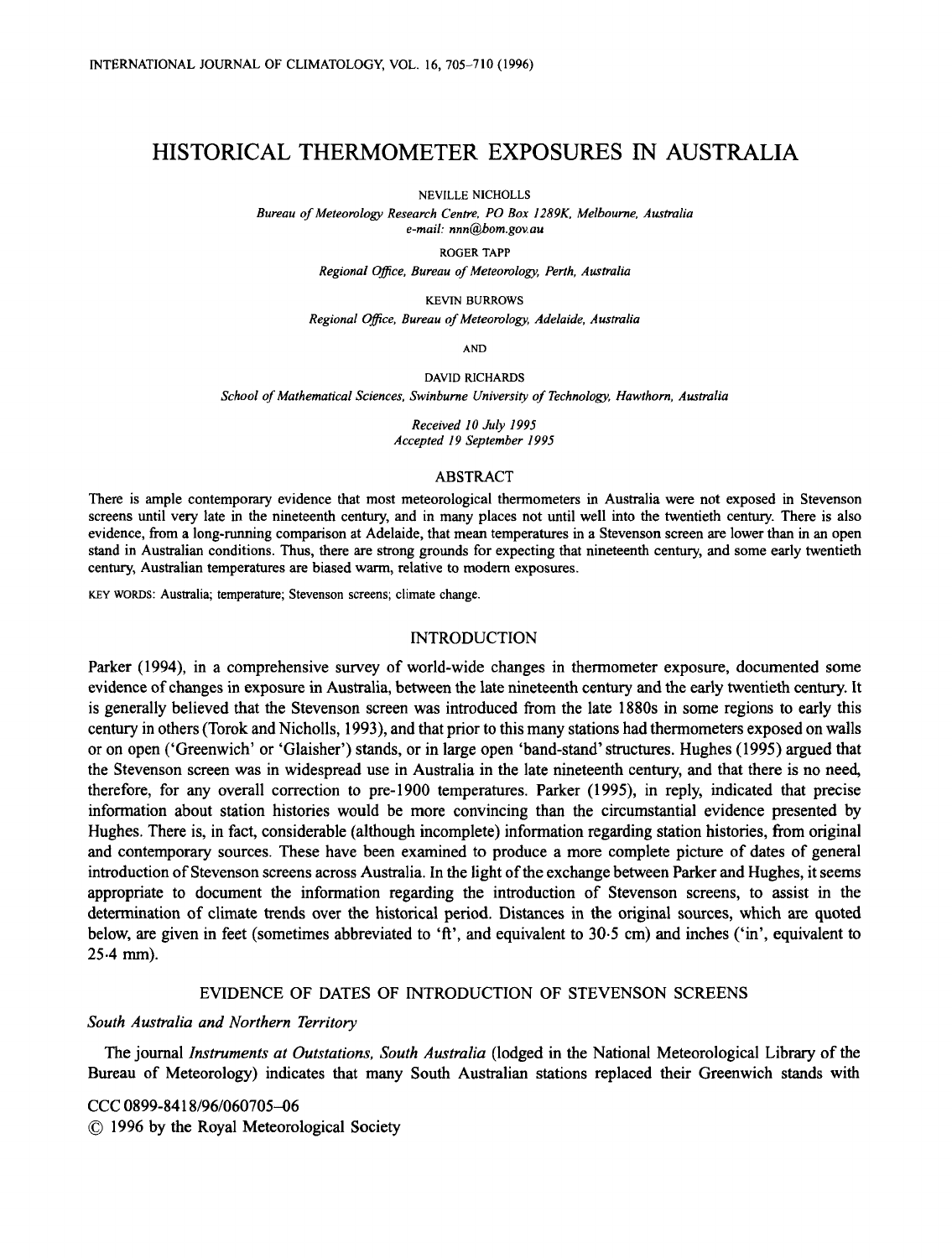# HISTORICAL THERMOMETER EXPOSURES **IN** AUSTRALIA

NEVILLE NICHOLLS

*Bureau of Meteomlogy Research Centre, PO Box I289K. Melbourne, Ausimlia e-mail: nnn@bom.gov.au* 

**ROGER TAPP** 

*Regional Ofice, Bureau of Meteomloa, Perth, Australia* 

**KEVIN BURROWS** 

*Regional Ofice, Bureau of Meteomloa, Adelaide, Ausmlia* 

**AND** 

**DAVID RICHARDS** 

School of Mathematical Sciences, Swinburne University of Technology, Hawthorn, Australia

*Received I0 July I995 Accepted 19 September I995* 

#### **ABSTRACT**

**There is ample contemporary evidence that most meteorological thermometers in Australia were not exposed in Stevenson screens until very late in the nineteenth century, and in many places not until well into the twentieth century. There is also evidence, from a long-running comparison at Adelaide, that mean temperatures in a Stevenson screen are lower than in an open stand in Australian conditions. Thus, there are strong grounds for expecting that nineteenth century, and some early twentieth century, Australian temperatures are biased warm, relative to modem exposures.** 

**KEY WORDS: Australia; temperature; Stevenson screens; climate change.** 

## INTRODUCTION

Parker (1994), in a comprehensive survey of world-wide changes in thermometer exposure, documented some evidence of changes in exposure in Australia, between the late nineteenth century and the early twentieth century. It is generally believed that the Stevenson screen was introduced from the late 1880s in some regions to early this century in others (Torok and Nicholls, 1993), and that prior to this many stations had thermometers exposed on walls or on open ('Greenwich' or 'Glaisher') stands, or in large open 'band-stand'structures. Hughes (1995) argued that the Stevenson screen was in widespread use in Australia in the late nineteenth century, and that there is no need, therefore, for any overall correction to pre-1900 temperatures. Parker (1995), in reply, indicated that precise information about station histories would be more convincing than the circumstantial evidence presented by Hughes. There is, in fact, considerable (although incomplete) information regarding station histories, from original and contemporary sources. These have been examined to produce a more complete picture of dates of general introduction of Stevenson screens across Australia. In the light of the exchange between Parker and Hughes, it seems appropriate to document the information regarding the introduction of Stevenson screens, to assist in the determination of climate trends over the historical period. Distances in the original sources, which are quoted below, are given in feet (sometimes abbreviated to **'ft',** and equivalent to 30.5 cm) and inches ('in', equivalent to  $25.4$  mm).

# EVIDENCE OF DATES OF INTRODUCTION OF STEVENSON SCREENS

# *South Australia and Northern Territory*

The journal *Instruments at Outstations, South Australia* (lodged in the National Meteorological Library of the Bureau of Meteorology) indicates that many South Australian stations replaced their Greenwich stands with

CCC 0899-841 8/96/060705-06 *0* 1996 by the Royal Meteorological Society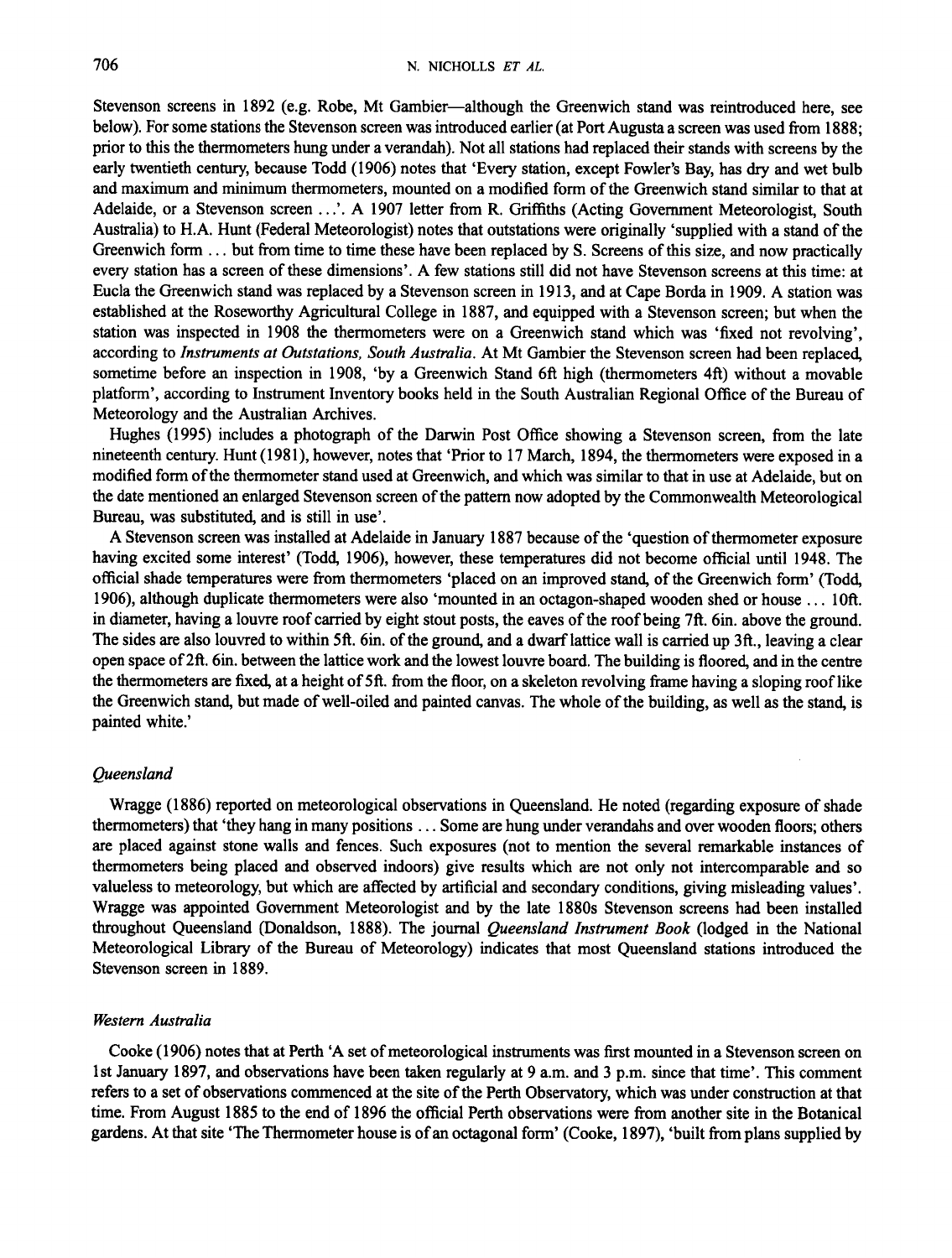Stevenson screens in 1892 (e.g. Robe, Mt Gambier-although the Greenwich stand was reintroduced here, see below). For some stations the Stevenson screen was introduced earlier (at Port Augusta a screen was used from 1888; prior to this the thermometers hung under a verandah). Not all stations had replaced their stands with screens by the early twentieth century, because Todd (1906) notes that 'Every station, except Fowler's Bay, has dry and wet bulb and maximum and minimum thermometers, mounted on a modified form of the Greenwich stand similar **to** that at Adelaide, or a Stevenson screen . . .'. A 1907 letter from R. Griffiths (Acting Government Meteorologist, South Australia) to H.A. Hunt (Federal Meteorologist) notes that outstations were originally 'supplied with a stand of the Greenwich form . . . but from time to time these have been replaced by S. Screens of this size, and now practically every station has a screen of these dimensions'. A few stations still did not have Stevenson screens at this time: at Eucla the Greenwich stand was replaced by a Stevenson screen in 19 13, and at Cape Borda in 1909. A station was established at the Roseworthy Agricultural College in 1887, and equipped with a Stevenson screen; but when the station was inspected in 1908 the thermometers were on a Greenwich stand which was 'fixed not revolving', according to *Instruments at Outstations, South Australia.* At Mt Gambier the Stevenson screen had been replaced, sometime before an inspection in 1908, 'by a Greenwich Stand 6ft high (thermometers 4ft) without a movable platform', according to Instrument Inventory books held in the South Australian Regional Office of the Bureau of Meteorology and the Australian Archives.

Hughes (1995) includes a photograph of the Darwin Post Office showing a Stevenson screen, from the late nineteenth century. Hunt (1981), however, notes that 'Prior to 17 March, 1894, the thermometers were exposed in a modified form of the thermometer stand used at Greenwich, and which was similar to that in use at Adelaide, but on the date mentioned an enlarged Stevenson screen of the pattern now adopted by the Commonwealth Meteorological Bureau, was substituted, and is still in use'.

A Stevenson screen was installed at Adelaide in January 1887 because of the 'question of thermometer exposure having excited some interest' (Todd, 1906), however, these temperatures did not become official until 1948. The official shade temperatures were from thermometers 'placed on an improved stand, of the Greenwich form' (Todd, 1906), although duplicate thermometers were also 'mounted in an octagon-shaped wooden shed or house . . . loft. in diameter, having a louvre roof carried by eight stout posts, the eaves of the roof being 7ft. 6in. above the ground. The sides are also louvred to within 5ft. 6in. of the ground, and a dwarf lattice wall is carried up **3ft.,** leaving a clear open space of 2ft. 6in. between the lattice work and the lowest louvre board. The building is floored, and in the centre the thermometers are fixed, at a height of 5ft. from the floor, on a skeleton revolving frame having a sloping roof like the Greenwich stand, but made of well-oiled and painted canvas. The whole *of* the building, **as** well **as** the stand, is painted white.'

#### *Queensland*

Wragge (1 886) reported on meteorological observations in Queensland. He noted (regarding exposure of shade thermometers) that 'they hang in many positions . . . Some are hung under verandahs and over wooden floors; others are placed against stone walls and fences. Such exposures (not to mention the several remarkable instances of thermometers being placed and observed indoors) give results which are not only not intercomparable and so valueless to meteorology, but which are affected by artificial and secondary conditions, giving misleading values'. Wragge was appointed Government Meteorologist and by the late 1880s Stevenson screens had been installed throughout Queensland (Donaldson, 1888). The journal *Queensland Instrument* Book (lodged in the National Meteorological Library of the Bureau of Meteorology) indicates that most Queensland stations introduced the Stevenson screen in 1889.

## *Western Australia*

Cooke (1906) notes that at Perth 'A set of meteorological instruments was first mounted in a Stevenson screen on 1st January 1897, and observations have been taken regularly at 9 a.m. and 3 p.m. since that time'. This comment refers to a set of observations commenced at the site of the Perth Observatory, which was under construction at that time. From August 1885 to the end of 1896 the official Perth observations were from another site in the Botanical gardens. At that site 'The Thermometer house is of an octagonal form' (Cooke, 1897), 'built from plans supplied by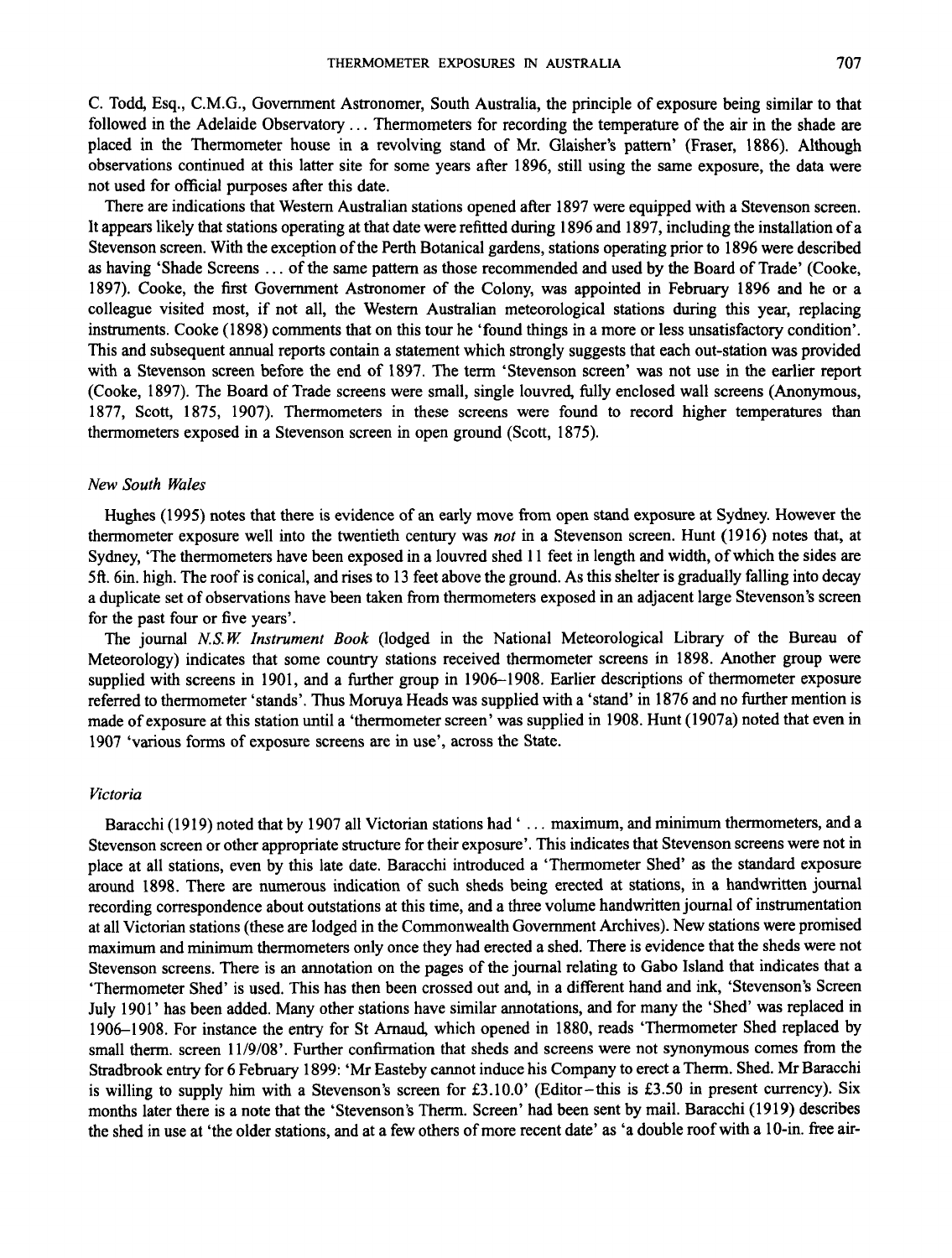C. Todd, Esq., C.M.G., Government Astronomer, South Australia, the principle of exposure being similar to that followed in the Adelaide Observatory.. . Thermometers for recording the temperature of the air in the shade are placed in the Thermometer house in a revolving stand of Mr. Glaisher's pattern' (Fraser, 1886). Although observations continued at this latter site for some years after 1896, still using the same exposure, the data were not used for official purposes after this date.

There are indications that Western Australian stations opened after 1897 were equipped with a Stevenson screen. It appears likely that stations operating at that date were refitted during 1896 and 1897, including the installation of a Stevenson screen. With the exception of the Perth Botanical gardens, stations operating prior to 1896 were described **as** having 'Shade Screens . . . of the same pattern **as** those recommended and used by the Board of Trade' (Cooke, 1897). Cooke, the first Government Astronomer of the Colony, was appointed in February 1896 and he or a colleague visited most, if not all, the Western Australian meteorological stations during this year, replacing instruments. Cooke (1898) comments that on this tour he 'found things in a more or less unsatisfactory condition'. This and subsequent annual reports contain a statement which strongly suggests that each out-station was provided with a Stevenson screen before the end of 1897. The term 'Stevenson screen' was not use in the earlier report (Cooke, 1897). The Board of Trade screens were small, single louvred, fully enclosed wall screens (Anonymous, 1877, Scott, 1875, 1907). Thermometers in these screens were found to record higher temperatures than thermometers exposed in a Stevenson screen in open ground (Scott, 1875).

#### *New South Wales*

Hughes (1 995) notes that there is evidence of **an** early move from open stand exposure at Sydney. However the thermometer exposure well into the twentieth century was *not* in a Stevenson screen. Hunt (1916) notes that, at Sydney, 'The thermometers have been exposed in a louvred shed 11 feet in length and width, of which the sides are **5ft.** 6in. high. The roof is conical, and rises to 13 feet above the ground. As this shelter is gradually falling into decay a duplicate set of observations have been taken from thermometers exposed in **an** adjacent large Stevenson's screen for the past four or five years'.

The journal *NS.W lnstrurnent* Book (lodged in the National Meteorological Library of the Bureau of Meteorology) indicates that some country stations received thermometer screens in 1898. Another group were supplied with screens in 1901, and a further group in 1906-1908. Earlier descriptions of thermometer exposure referred to thermometer 'stands'. Thus Moruya Heads was supplied with a 'stand' in 1876 and no further mention is made of exposure at this station until a 'thermometer screen' was supplied in 1908. Hunt (1907a) noted that even in 1907 'various forms of exposure screens are in use', across the State.

#### *Victoria*

Baracchi (1919) noted that by 1907 all Victorian stations had '... maximum, and minimum thermometers, and a Stevenson screen or other appropriate structure for their exposure'. This indicates that Stevenson screens were not in place at all stations, even by this late date. Baracchi introduced a 'Thermometer Shed' **as** the standard exposure around 1898. There are numerous indication of such sheds being erected at stations, in a handwritten journal recording correspondence about outstations at this time, and a three volume handwritten journal of instrumentation at all Victorian stations (these are lodged in the Commonwealth Government Archives). New stations were promised maximum and minimum thermometers only once they had erected a shed. There is evidence that the sheds were not Stevenson screens. There is an annotation on the pages of the journal relating to Gab0 Island that indicates that a 'Thermometer Shed' is used. This has then been crossed out **and,** in a different hand and ink, 'Stevenson's Screen July 1901' has been added. Many other stations have similar annotations, and for many the 'Shed' was replaced in 1906-1908. For instance the entry for St Arnaud, which opened in 1880, reads 'Thermometer Shed replaced by small therm. screen 11/9/08'. Further confirmation that sheds and screens were not synonymous comes from the Stradbrook entry for 6 February 1899: 'Mr Easteby cannot induce his Company to erect a Therm. Shed. Mr Baracchi is willing to supply him with a Stevenson's screen for £3.10.0' (Editor-this is £3.50 in present currency). Six months later there is a note that the 'Stevenson's Therm. Screen' had been sent by mail. Baracchi (19 19) describes the shed in use at 'the older stations, and at a few others of more recent date' **as** 'a double roof with a 10-in. free air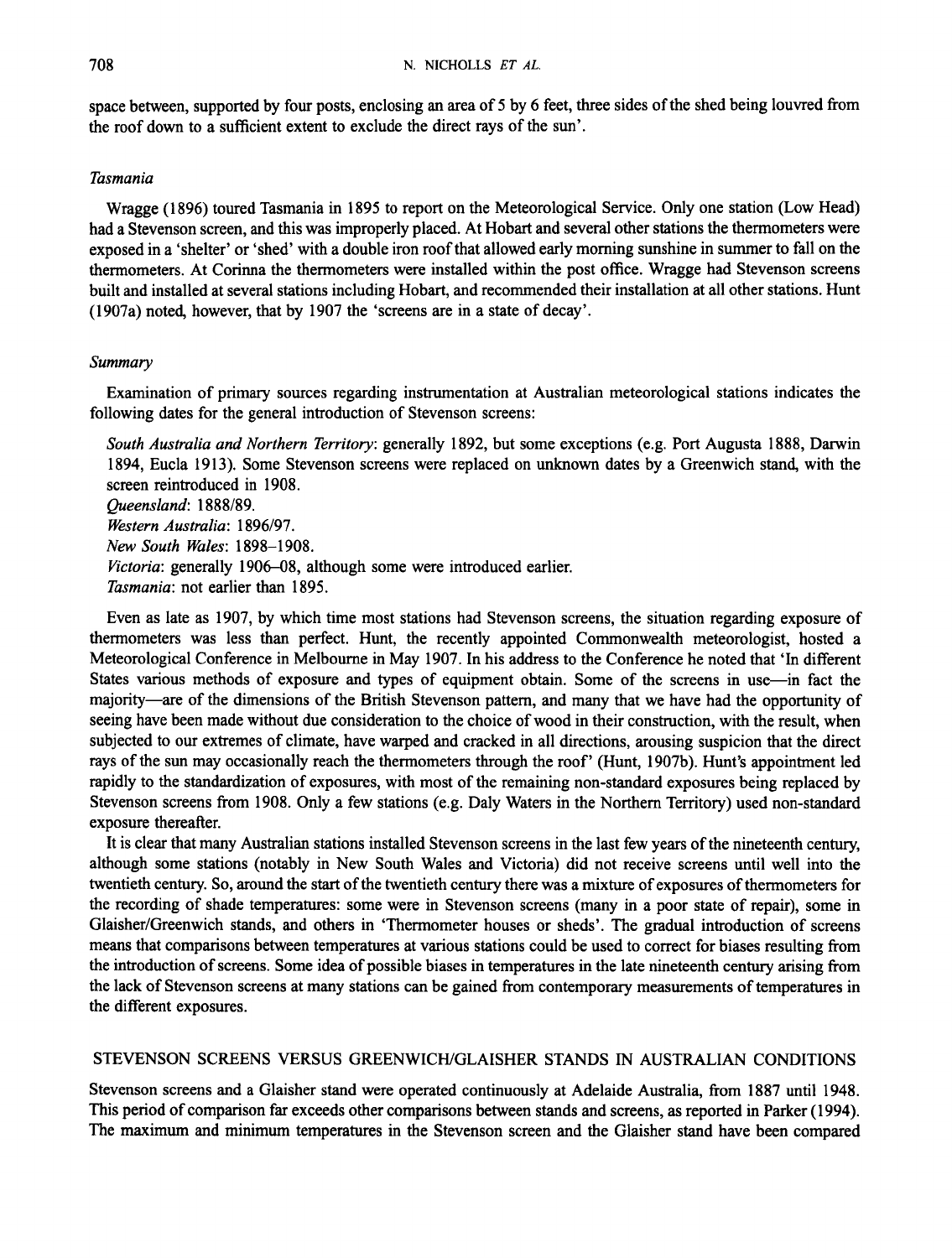space between, supported by four posts, enclosing an area of 5 by 6 feet, three sides of the shed being louvred from the roof down to a sufficient extent to exclude the direct rays of the sun'.

## *Tasmania*

Wragge (1 896) toured Tasmania in I895 to report on the Meteorological Service. Only one station (Low Head) had a Stevenson screen, and this was improperly placed. At Hobart and several other stations the thermometers were exposed in a 'shelter' or 'shed' with a double iron roof that allowed early morning sunshine in summer to fall on the thermometers. At Corinna the thermometers were installed within the post office. Wragge had Stevenson screens built and installed at several stations including Hobart, and recommended their installation at all other stations. Hunt (1907a) noted, however, that by 1907 the 'screens are in a state of decay'.

### *Summary*

following dates for the general introduction of Stevenson screens: Examination of primary sources regarding instrumentation at Australian meteorological stations indicates the

*South Australia and Northern Tem'tory:* generally 1892, but some exceptions (e.g. Port Augusta 1888, Darwin 1894, Eucla 1913). Some Stevenson screens were replaced on unknown dates by a Greenwich stand, with the screen reintroduced in 1908.

*Beensland:* 1888189.

*Western Australia: 1896/97.* 

*New South Wales:* 1898-1908.

Victoria: generally 1906–08, although some were introduced earlier.

*Tasmania:* not earlier than 1895.

Even as late as 1907, by which time most stations had Stevenson screens, the situation regarding exposure of thermometers was less than perfect. Hunt, the recently appointed Commonwealth meteorologist, hosted a Meteorological Conference in Melbourne in May 1907. In his address to the Conference he noted that 'In different States various methods of exposure and types of equipment obtain. Some of the screens in use—in fact the majority-are of the dimensions of the British Stevenson pattern, and many that we have had the opportunity of seeing have been made without due consideration to the choice of wood in their construction, with the result, when subjected to our extremes of climate, have warped and cracked in all directions, arousing suspicion that the direct rays of the sun may occasionally reach the thermometers through the roof' (Hunt, 1907b). Hunt's appointment led rapidly to the standardization of exposures, with most of the remaining non-standard exposures being replaced by Stevenson screens from 1908. Only a few stations (e.g. Daly Waters in the Northern Territory) used non-standard exposure thereafter.

It is clear that many Australian stations installed Stevenson screens in the last few years of the nineteenth century, although some stations (notably in New South Wales and Victoria) did not receive screens until well into the twentieth century. So, around the start of the twentieth century there was a mixture of exposures of thermometers for the recording of shade temperatures: some were in Stevenson screens (many in a poor state of repair), some in Glaisher/Greenwich stands, and others in 'Thermometer houses or sheds'. The gradual introduction of screens means that comparisons between temperatures at various stations could be used to correct for biases resulting from the introduction of screens. Some idea of possible biases in temperatures in the late nineteenth century arising from the lack of Stevenson screens at many stations can be gained from contemporary measurements of temperatures in the different exposures.

# STEVENSON SCREENS VERSUS GREENWICWGLAISHER STANDS IN AUSTRALIAN CONDITIONS

Stevenson screens and a Glaisher stand were operated continuously at Adelaide Australia, from 1887 until 1948. This period of comparison far exceeds other comparisons between stands and screens, **as** reported in Parker (1 994). The maximum and minimum temperatures in the Stevenson screen and the Glaisher stand have been compared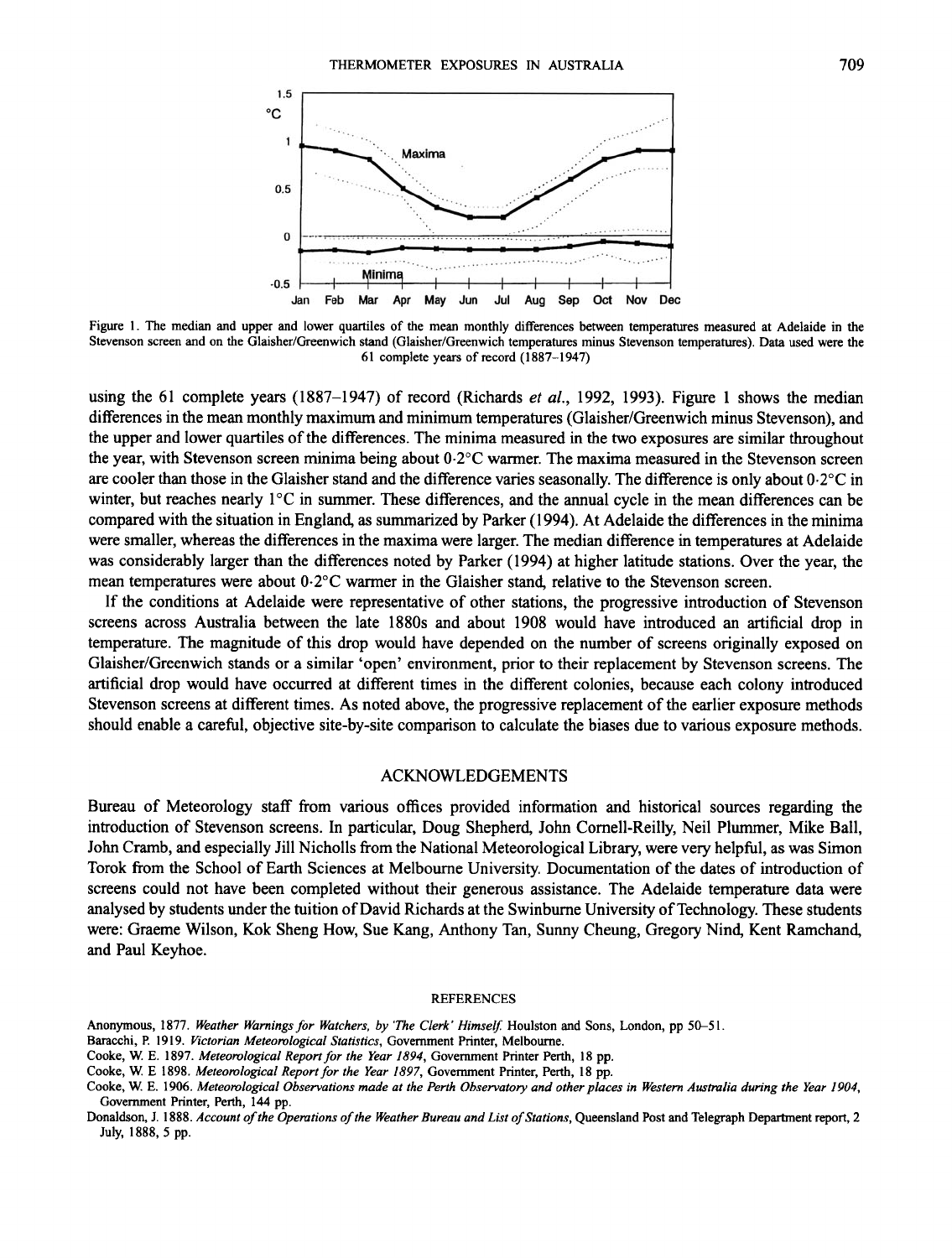

Figure 1. The median and upper and lower quartiles of the mean monthly differences between temperatures measured at Adelaide in the Stevenson screen and on the Glaisher/Greenwich stand (Glaisher/Greenwich temperatures minus Stevenson temperatures). Data used were the 61 complete years of record (1887-1947)

using the 61 complete years (1887-1947) of record (Richards et *al.,* 1992, 1993). Figure 1 shows the median differences in the mean monthly maximum and minimum temperatures (Glaisher/Greenwich minus Stevenson), and the upper and lower quartiles of the differences. The minima measured in the two exposures are similar throughout the year, with Stevenson screen minima being about 0.2"C warmer. The maxima measured in the Stevenson screen are cooler than those in the Glaisher stand and the difference varies seasonally. The difference is only about 0.2"C in winter, but reaches nearly 1°C in summer. These differences, and the annual cycle in the mean differences can be compared with the situation in England, **as** summarized by Parker (1 994). At Adelaide the differences in the minima were smaller, whereas the differences in the maxima were larger. The median difference in temperatures at Adelaide was considerably larger than the differences noted by Parker (1994) at higher latitude stations. Over the year, the mean temperatures were about 0.2"C warmer in the Glaisher stand, relative to the Stevenson screen.

If the conditions at Adelaide were representative of other stations, the progressive introduction of Stevenson screens across Australia between the late 1880s and about 1908 would have introduced an artificial drop in temperature. The magnitude of this drop would have depended on the number of screens originally exposed on Glaisher/Greenwich stands or a similar 'open' environment, prior to their replacement by Stevenson screens. The artificial drop would have occurred at different times in the different colonies, because each colony introduced Stevenson screens at different times. As noted above, the progressive replacement of the earlier exposure methods should enable a careful, objective site-by-site comparison to calculate the biases due to various exposure methods.

#### ACKNOWLEDGEMENTS

Bureau of Meteorology staff from various offices provided information and historical sources regarding the introduction of Stevenson screens. In particular, Doug Shepherd, John Cornell-Reilly, Neil Plummer, Mike Ball, John Cramb, and especially Jill Nicholls from the National Meteorological Library, were very helpful, as was Simon Torok from the School of Earth Sciences at Melbourne University. Documentation of the dates of introduction of screens could not have been completed without their generous assistance. The Adelaide temperature data were analysed by students under the tuition of David Richards at the Swinburne University of Technology. These students were: Graeme Wilson, Kok Sheng How, Sue Kang, Anthony Tan, Sunny Cheung, Gregory Nind, Kent Ramchand, and Paul Keyhoe.

#### **REFERENCES**

- **Anonymous, 1877.** *Weather Warnings for Watchers, by 'The Clerk' Himself:* **Houlston and Sons, London, pp** *5&5* **I.**
- **Baracchi, P. 1919.** *Victorian Meteorological Statistics,* **Government Printer, Melbourne.**
- **Cooke,** W. **E. 1897.** *Meteorological Report for the Year 1894,* **Government Printer Perth, 18 pp.**
- **Cooke,** W. **E 1898.** *Meteorological Report for the Year 1897,* **Government Printer, Perth, 18 pp.**
- Cooke, W. E. 1906. Meteorological Observations made at the Perth Observatory and other places in Western Australia during the Year 1904, **Government Printer, Perth, 144 pp.**

**Donaldson, J. 1888.** *Accounr ofthe Opemtions of the Weather Bureau and List of Stations,* **Queensland Post and Telegraph Department report, 2 July, 1888, 5 pp.**